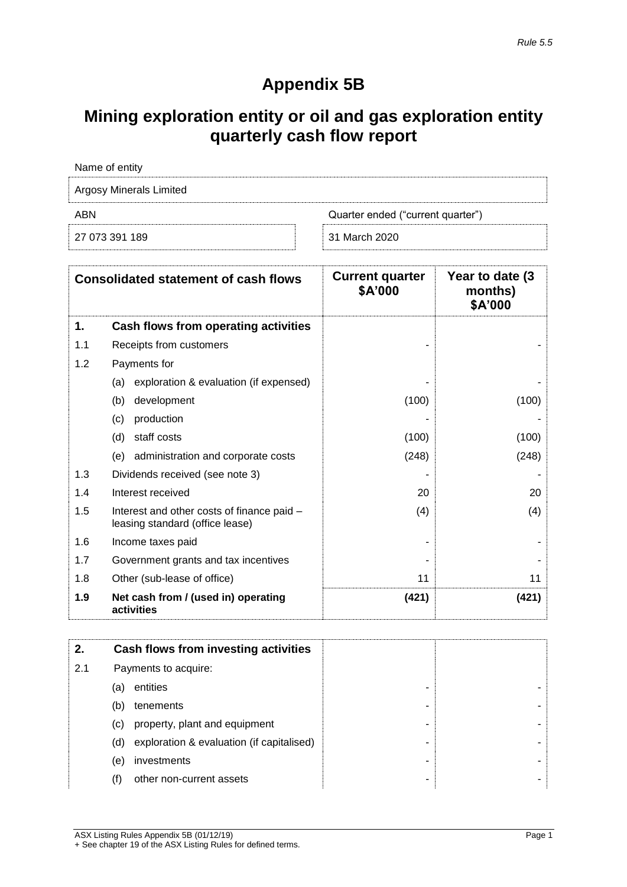# **Appendix 5B**

## **Mining exploration entity or oil and gas exploration entity quarterly cash flow report**

| Name of entity                 |                                   |
|--------------------------------|-----------------------------------|
| <b>Argosy Minerals Limited</b> |                                   |
| ABN                            | Quarter ended ("current quarter") |
| 27 073 391 189                 | 31 March 2020                     |

|     | <b>Consolidated statement of cash flows</b>                                   | <b>Current quarter</b><br>\$A'000 | Year to date (3)<br>months)<br>\$A'000 |
|-----|-------------------------------------------------------------------------------|-----------------------------------|----------------------------------------|
| 1.  | Cash flows from operating activities                                          |                                   |                                        |
| 1.1 | Receipts from customers                                                       |                                   |                                        |
| 1.2 | Payments for                                                                  |                                   |                                        |
|     | exploration & evaluation (if expensed)<br>(a)                                 |                                   |                                        |
|     | development<br>(b)                                                            | (100)                             | (100)                                  |
|     | production<br>(c)                                                             |                                   |                                        |
|     | staff costs<br>(d)                                                            | (100)                             | (100)                                  |
|     | administration and corporate costs<br>(e)                                     | (248)                             | (248)                                  |
| 1.3 | Dividends received (see note 3)                                               |                                   |                                        |
| 1.4 | Interest received                                                             | 20                                | 20                                     |
| 1.5 | Interest and other costs of finance paid -<br>leasing standard (office lease) | (4)                               | (4)                                    |
| 1.6 | Income taxes paid                                                             |                                   |                                        |
| 1.7 | Government grants and tax incentives                                          |                                   |                                        |
| 1.8 | Other (sub-lease of office)                                                   | 11                                | 11                                     |
| 1.9 | Net cash from / (used in) operating<br>activities                             | (421)                             | (421)                                  |

| 2.  |     | Cash flows from investing activities      |   |  |
|-----|-----|-------------------------------------------|---|--|
| 2.1 |     | Payments to acquire:                      |   |  |
|     | (a) | entities                                  |   |  |
|     | (b) | tenements                                 | ٠ |  |
|     | (C) | property, plant and equipment             | ۰ |  |
|     | (d) | exploration & evaluation (if capitalised) | - |  |
|     | (e) | investments                               | ٠ |  |
|     |     | other non-current assets                  | - |  |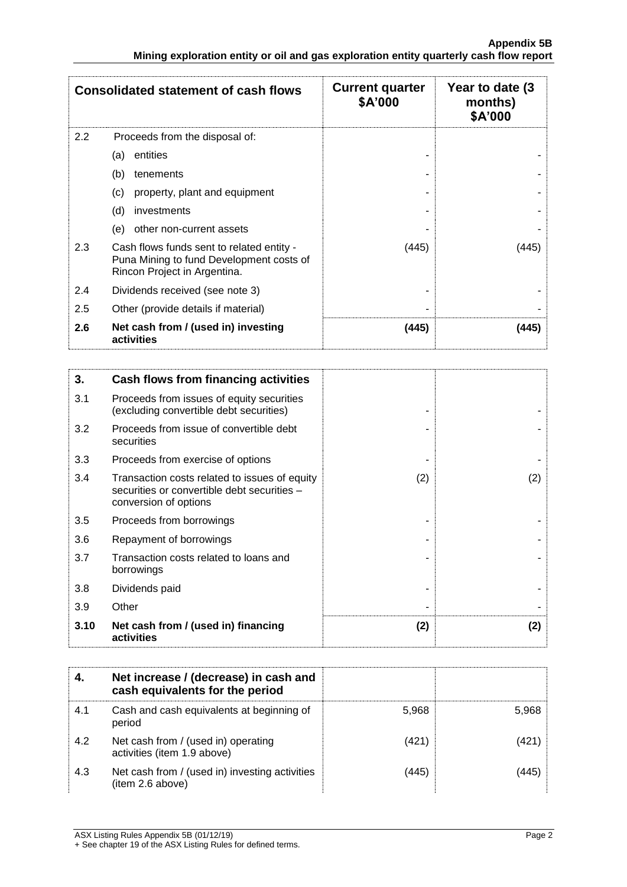|                  | <b>Consolidated statement of cash flows</b>                                                                           | <b>Current quarter</b><br>\$A'000 | Year to date (3)<br>months)<br>\$A'000 |
|------------------|-----------------------------------------------------------------------------------------------------------------------|-----------------------------------|----------------------------------------|
| $2.2\phantom{0}$ | Proceeds from the disposal of:                                                                                        |                                   |                                        |
|                  | entities<br>(a)                                                                                                       |                                   |                                        |
|                  | (b)<br>tenements                                                                                                      |                                   |                                        |
|                  | property, plant and equipment<br>(c)                                                                                  |                                   |                                        |
|                  | (d)<br>investments                                                                                                    |                                   |                                        |
|                  | other non-current assets<br>(e)                                                                                       |                                   |                                        |
| 2.3              | Cash flows funds sent to related entity -<br>Puna Mining to fund Development costs of<br>Rincon Project in Argentina. | (445)                             | (445)                                  |
| 2.4              | Dividends received (see note 3)                                                                                       |                                   |                                        |
| 2.5              | Other (provide details if material)                                                                                   |                                   |                                        |
| 2.6              | Net cash from / (used in) investing<br>activities                                                                     | (445)                             | (445)                                  |

| 3.   | Cash flows from financing activities                                                                                  |     |     |
|------|-----------------------------------------------------------------------------------------------------------------------|-----|-----|
| 3.1  | Proceeds from issues of equity securities<br>(excluding convertible debt securities)                                  |     |     |
| 3.2  | Proceeds from issue of convertible debt<br>securities                                                                 |     |     |
| 3.3  | Proceeds from exercise of options                                                                                     |     |     |
| 3.4  | Transaction costs related to issues of equity<br>securities or convertible debt securities -<br>conversion of options | (2) | (2) |
| 3.5  | Proceeds from borrowings                                                                                              |     |     |
| 3.6  | Repayment of borrowings                                                                                               |     |     |
| 3.7  | Transaction costs related to loans and<br>borrowings                                                                  |     |     |
| 3.8  | Dividends paid                                                                                                        |     |     |
| 3.9  | Other                                                                                                                 |     |     |
| 3.10 | Net cash from / (used in) financing<br>activities                                                                     | (2) | (2) |

|     | Net increase / (decrease) in cash and<br>cash equivalents for the period |       |       |
|-----|--------------------------------------------------------------------------|-------|-------|
| 4.1 | Cash and cash equivalents at beginning of<br>period                      | 5,968 | 5.968 |
| 4.2 | Net cash from / (used in) operating<br>activities (item 1.9 above)       | (421) |       |
| 4.3 | Net cash from / (used in) investing activities<br>(item 2.6 above)       | (445) |       |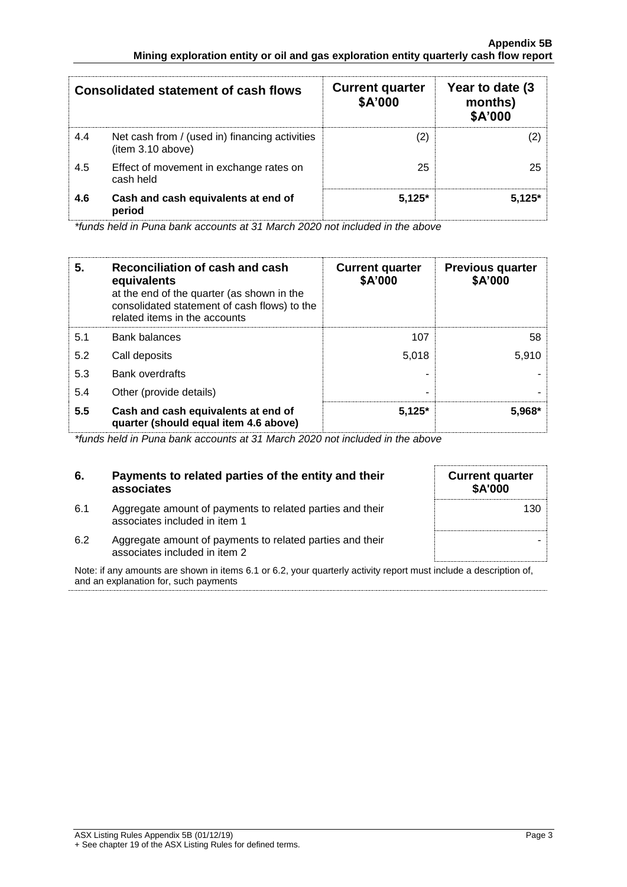|     | <b>Consolidated statement of cash flows</b>                         | <b>Current quarter</b><br>\$A'000 | Year to date (3)<br>months)<br>\$A'000 |
|-----|---------------------------------------------------------------------|-----------------------------------|----------------------------------------|
| 4.4 | Net cash from / (used in) financing activities<br>(item 3.10 above) | 21                                |                                        |
| 4.5 | Effect of movement in exchange rates on<br>cash held                | 25                                | 25.                                    |
| 4.6 | Cash and cash equivalents at end of<br>period                       | $5.125*$                          | $5.125*$                               |

*\*funds held in Puna bank accounts at 31 March 2020 not included in the above*

| 5.  | Reconciliation of cash and cash<br>equivalents<br>at the end of the quarter (as shown in the<br>consolidated statement of cash flows) to the<br>related items in the accounts | <b>Current quarter</b><br>\$A'000 | <b>Previous quarter</b><br>\$A'000 |
|-----|-------------------------------------------------------------------------------------------------------------------------------------------------------------------------------|-----------------------------------|------------------------------------|
| 5.1 | <b>Bank balances</b>                                                                                                                                                          | 107                               | 58                                 |
| 5.2 | Call deposits                                                                                                                                                                 | 5.018                             | 5.910                              |
| 5.3 | <b>Bank overdrafts</b>                                                                                                                                                        |                                   |                                    |
| 5.4 | Other (provide details)                                                                                                                                                       |                                   |                                    |
| 5.5 | Cash and cash equivalents at end of<br>quarter (should equal item 4.6 above)                                                                                                  | $5,125*$                          | $5.968*$                           |

*\*funds held in Puna bank accounts at 31 March 2020 not included in the above*

| 6.  | Payments to related parties of the entity and their<br>associates                          | <b>Current quarter</b><br><b>\$A'000</b> |
|-----|--------------------------------------------------------------------------------------------|------------------------------------------|
| 6.1 | Aggregate amount of payments to related parties and their<br>associates included in item 1 | 130                                      |
| 6.2 | Aggregate amount of payments to related parties and their<br>associates included in item 2 |                                          |

Note: if any amounts are shown in items 6.1 or 6.2, your quarterly activity report must include a description of, and an explanation for, such payments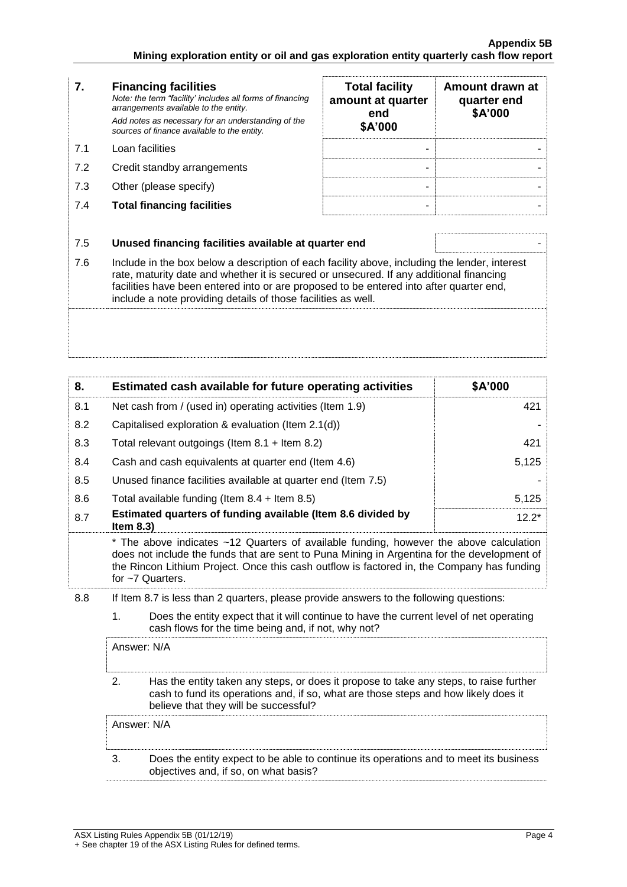| 7.  | <b>Financing facilities</b><br>Note: the term "facility' includes all forms of financing<br>arrangements available to the entity.<br>Add notes as necessary for an understanding of the<br>sources of finance available to the entity.                                                                                                               | <b>Total facility</b><br>amount at quarter<br>end<br>\$A'000 | Amount drawn at<br>quarter end<br>\$A'000 |
|-----|------------------------------------------------------------------------------------------------------------------------------------------------------------------------------------------------------------------------------------------------------------------------------------------------------------------------------------------------------|--------------------------------------------------------------|-------------------------------------------|
| 7.1 | Loan facilities                                                                                                                                                                                                                                                                                                                                      |                                                              |                                           |
| 7.2 | Credit standby arrangements                                                                                                                                                                                                                                                                                                                          |                                                              |                                           |
| 7.3 | Other (please specify)                                                                                                                                                                                                                                                                                                                               |                                                              |                                           |
| 7.4 | <b>Total financing facilities</b>                                                                                                                                                                                                                                                                                                                    |                                                              |                                           |
|     |                                                                                                                                                                                                                                                                                                                                                      |                                                              |                                           |
| 7.5 | Unused financing facilities available at quarter end                                                                                                                                                                                                                                                                                                 |                                                              |                                           |
| 7.6 | Include in the box below a description of each facility above, including the lender, interest<br>rate, maturity date and whether it is secured or unsecured. If any additional financing<br>facilities have been entered into or are proposed to be entered into after quarter end,<br>include a note providing details of those facilities as well. |                                                              |                                           |
|     |                                                                                                                                                                                                                                                                                                                                                      |                                                              |                                           |

| 8.  | Estimated cash available for future operating activities                     | \$A'000 |
|-----|------------------------------------------------------------------------------|---------|
| 8.1 | Net cash from / (used in) operating activities (Item 1.9)                    | 421     |
| 8.2 | Capitalised exploration & evaluation (Item 2.1(d))                           |         |
| 8.3 | Total relevant outgoings (Item 8.1 + Item 8.2)                               | 421     |
| 8.4 | Cash and cash equivalents at quarter end (Item 4.6)                          | 5,125   |
| 8.5 | Unused finance facilities available at quarter end (Item 7.5)                |         |
| 8.6 | Total available funding (Item $8.4$ + Item $8.5$ )                           | 5,125   |
| 8.7 | Estimated quarters of funding available (Item 8.6 divided by<br>Item $8.3$ ) | $12.2*$ |

\* The above indicates ~12 Quarters of available funding, however the above calculation does not include the funds that are sent to Puna Mining in Argentina for the development of the Rincon Lithium Project. Once this cash outflow is factored in, the Company has funding for ~7 Quarters.

8.8 If Item 8.7 is less than 2 quarters, please provide answers to the following questions:

1. Does the entity expect that it will continue to have the current level of net operating cash flows for the time being and, if not, why not?

| Answer: N/A                                                                                                                                                                                                            |
|------------------------------------------------------------------------------------------------------------------------------------------------------------------------------------------------------------------------|
| Has the entity taken any steps, or does it propose to take any steps, to raise further<br>cash to fund its operations and, if so, what are those steps and how likely does it<br>believe that they will be successful? |
| Answer: N/A                                                                                                                                                                                                            |
| Does the entity expect to be able to continue its operations and to meet its business<br>objectives and, if so, on what basis?                                                                                         |